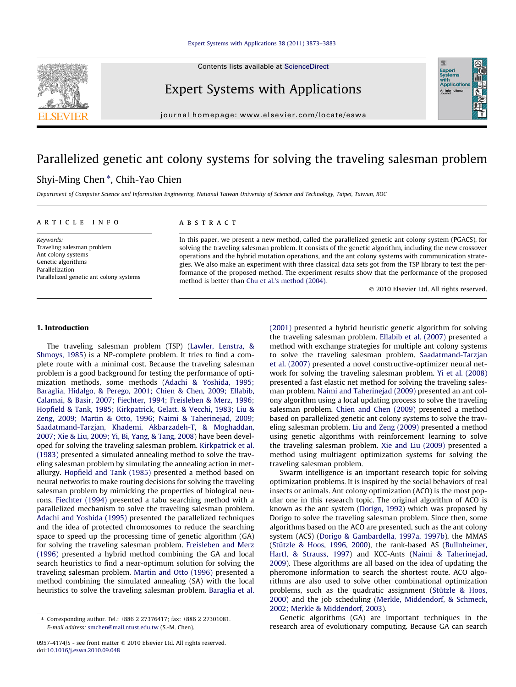Contents lists available at [ScienceDirect](http://www.sciencedirect.com/science/journal/09574174)



### Expert Systems with Applications

journal homepage: [www.elsevier.com/locate/eswa](http://www.elsevier.com/locate/eswa)

# Parallelized genetic ant colony systems for solving the traveling salesman problem

#### Shyi-Ming Chen<sup>\*</sup>, Chih-Yao Chien

Department of Computer Science and Information Engineering, National Taiwan University of Science and Technology, Taipei, Taiwan, ROC

#### article info

Keywords: Traveling salesman problem Ant colony systems Genetic algorithms Parallelization Parallelized genetic ant colony systems

#### **ABSTRACT**

In this paper, we present a new method, called the parallelized genetic ant colony system (PGACS), for solving the traveling salesman problem. It consists of the genetic algorithm, including the new crossover operations and the hybrid mutation operations, and the ant colony systems with communication strategies. We also make an experiment with three classical data sets got from the TSP library to test the performance of the proposed method. The experiment results show that the performance of the proposed method is better than [Chu et al.'s method \(2004\).](#page--1-0)

- 2010 Elsevier Ltd. All rights reserved.

Expert<br>Systems<br>with<br>Applical

#### 1. Introduction

The traveling salesman problem (TSP) ([Lawler, Lenstra, &](#page--1-0) [Shmoys, 1985](#page--1-0)) is a NP-complete problem. It tries to find a complete route with a minimal cost. Because the traveling salesman problem is a good background for testing the performance of optimization methods, some methods ([Adachi & Yoshida, 1995;](#page--1-0) [Baraglia, Hidalgo, & Perego, 2001; Chien & Chen, 2009; Ellabib,](#page--1-0) [Calamai, & Basir, 2007; Fiechter, 1994; Freisleben & Merz, 1996;](#page--1-0) [Hopfield & Tank, 1985; Kirkpatrick, Gelatt, & Vecchi, 1983; Liu &](#page--1-0) [Zeng, 2009; Martin & Otto, 1996; Naimi & Taherinejad, 2009;](#page--1-0) [Saadatmand-Tarzjan, Khademi, Akbarzadeh-T, & Moghaddan,](#page--1-0) [2007; Xie & Liu, 2009; Yi, Bi, Yang, & Tang, 2008](#page--1-0)) have been developed for solving the traveling salesman problem. [Kirkpatrick et al.](#page--1-0) [\(1983\)](#page--1-0) presented a simulated annealing method to solve the traveling salesman problem by simulating the annealing action in metallurgy. [Hopfield and Tank \(1985\)](#page--1-0) presented a method based on neural networks to make routing decisions for solving the traveling salesman problem by mimicking the properties of biological neurons. [Fiechter \(1994\)](#page--1-0) presented a tabu searching method with a parallelized mechanism to solve the traveling salesman problem. [Adachi and Yoshida \(1995\)](#page--1-0) presented the parallelized techniques and the idea of protected chromosomes to reduce the searching space to speed up the processing time of genetic algorithm (GA) for solving the traveling salesman problem. [Freisleben and Merz](#page--1-0) [\(1996\)](#page--1-0) presented a hybrid method combining the GA and local search heuristics to find a near-optimum solution for solving the traveling salesman problem. [Martin and Otto \(1996\)](#page--1-0) presented a method combining the simulated annealing (SA) with the local heuristics to solve the traveling salesman problem. [Baraglia et al.](#page--1-0)

[\(2001\)](#page--1-0) presented a hybrid heuristic genetic algorithm for solving the traveling salesman problem. [Ellabib et al. \(2007\)](#page--1-0) presented a method with exchange strategies for multiple ant colony systems to solve the traveling salesman problem. [Saadatmand-Tarzjan](#page--1-0) [et al. \(2007\)](#page--1-0) presented a novel constructive-optimizer neural network for solving the traveling salesman problem. [Yi et al. \(2008\)](#page--1-0) presented a fast elastic net method for solving the traveling salesman problem. [Naimi and Taherinejad \(2009\)](#page--1-0) presented an ant colony algorithm using a local updating process to solve the traveling salesman problem. [Chien and Chen \(2009\)](#page--1-0) presented a method based on parallelized genetic ant colony systems to solve the traveling salesman problem. [Liu and Zeng \(2009\)](#page--1-0) presented a method using genetic algorithms with reinforcement learning to solve the traveling salesman problem. [Xie and Liu \(2009\)](#page--1-0) presented a method using multiagent optimization systems for solving the traveling salesman problem.

Swarm intelligence is an important research topic for solving optimization problems. It is inspired by the social behaviors of real insects or animals. Ant colony optimization (ACO) is the most popular one in this research topic. The original algorithm of ACO is known as the ant system [\(Dorigo, 1992\)](#page--1-0) which was proposed by Dorigo to solve the traveling salesman problem. Since then, some algorithms based on the ACO are presented, such as the ant colony system (ACS) [\(Dorigo & Gambardella, 1997a, 1997b](#page--1-0)), the MMAS ([Stützle & Hoos, 1996, 2000\)](#page--1-0), the rank-based AS [\(Bullnheimer,](#page--1-0) [Hartl, & Strauss, 1997](#page--1-0)) and KCC-Ants [\(Naimi & Taherinejad,](#page--1-0) [2009](#page--1-0)). These algorithms are all based on the idea of updating the pheromone information to search the shortest route. ACO algorithms are also used to solve other combinational optimization problems, such as the quadratic assignment ([Stützle & Hoos,](#page--1-0) [2000](#page--1-0)) and the job scheduling [\(Merkle, Middendorf, & Schmeck,](#page--1-0) [2002; Merkle & Middendorf, 2003](#page--1-0)).

Genetic algorithms (GA) are important techniques in the research area of evolutionary computing. Because GA can search

<sup>⇑</sup> Corresponding author. Tel.: +886 2 27376417; fax: +886 2 27301081. E-mail address: [smchen@mail.ntust.edu.tw](mailto:smchen@mail.ntust.edu.tw) (S.-M. Chen).

<sup>0957-4174/\$ -</sup> see front matter © 2010 Elsevier Ltd. All rights reserved. doi[:10.1016/j.eswa.2010.09.048](http://dx.doi.org/10.1016/j.eswa.2010.09.048)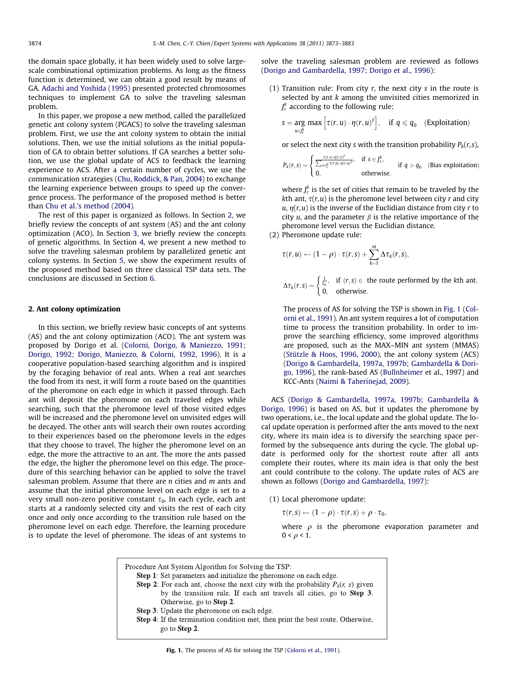the domain space globally, it has been widely used to solve largescale combinational optimization problems. As long as the fitness function is determined, we can obtain a good result by means of GA. [Adachi and Yoshida \(1995\)](#page--1-0) presented protected chromosomes techniques to implement GA to solve the traveling salesman problem.

In this paper, we propose a new method, called the parallelized genetic ant colony system (PGACS) to solve the traveling salesman problem. First, we use the ant colony system to obtain the initial solutions. Then, we use the initial solutions as the initial population of GA to obtain better solutions. If GA searches a better solution, we use the global update of ACS to feedback the learning experience to ACS. After a certain number of cycles, we use the communication strategies ([Chu, Roddick, & Pan, 2004](#page--1-0)) to exchange the learning experience between groups to speed up the convergence process. The performance of the proposed method is better than [Chu et al.'s method \(2004\).](#page--1-0)

The rest of this paper is organized as follows. In Section 2, we briefly review the concepts of ant system (AS) and the ant colony optimization (ACO). In Section [3](#page--1-0), we briefly review the concepts of genetic algorithms. In Section [4,](#page--1-0) we present a new method to solve the traveling salesman problem by parallelized genetic ant colony systems. In Section [5,](#page--1-0) we show the experiment results of the proposed method based on three classical TSP data sets. The conclusions are discussed in Section [6.](#page--1-0)

#### 2. Ant colony optimization

In this section, we briefly review basic concepts of ant systems (AS) and the ant colony optimization (ACO). The ant system was proposed by Dorigo et al. ([Colorni, Dorigo, & Maniezzo, 1991;](#page--1-0) [Dorigo, 1992; Dorigo, Maniezzo, & Colorni, 1992, 1996\)](#page--1-0). It is a cooperative population-based searching algorithm and is inspired by the foraging behavior of real ants. When a real ant searches the food from its nest, it will form a route based on the quantities of the pheromone on each edge in which it passed through. Each ant will deposit the pheromone on each traveled edges while searching, such that the pheromone level of those visited edges will be increased and the pheromone level on unvisited edges will be decayed. The other ants will search their own routes according to their experiences based on the pheromone levels in the edges that they choose to travel. The higher the pheromone level on an edge, the more the attractive to an ant. The more the ants passed the edge, the higher the pheromone level on this edge. The procedure of this searching behavior can be applied to solve the travel salesman problem. Assume that there are  $n$  cities and  $m$  ants and assume that the initial pheromone level on each edge is set to a very small non-zero positive constant  $\tau_0$ . In each cycle, each ant starts at a randomly selected city and visits the rest of each city once and only once according to the transition rule based on the pheromone level on each edge. Therefore, the learning procedure is to update the level of pheromone. The ideas of ant systems to solve the traveling salesman problem are reviewed as follows ([Dorigo and Gambardella, 1997; Dorigo et al., 1996\)](#page--1-0):

(1) Transition rule: From city  $r$ , the next city  $s$  in the route is selected by ant  $k$  among the unvisited cities memorized in  $J_r^k$  according to the following rule:

$$
s = \underset{u \in J_r^k}{\arg \ max} \left[ \tau(r, u) \cdot \eta(r, u)^\beta \right], \quad \text{if } q \leq q_0 \quad \text{(Exploitation)}
$$

or select the next city s with the transition probability  $P_k(r,s)$ ,

$$
P_k(r,s) = \begin{cases} \frac{\tau(r,s) \cdot \eta(r,s)^{\beta}}{\sum_{u \in J^k_r} \tau(r,u) \cdot \eta(r,u)^{\beta}}, & \text{if } s \in J^k_r, \\ 0, & \text{otherwise}, \end{cases} \quad \text{if } q > q_0 \quad \text{(Bias exploitation)}
$$

where  $J_r^k$  is the set of cities that remain to be traveled by the kth ant,  $\tau(r, u)$  is the pheromone level between city r and city u,  $\eta(r, u)$  is the inverse of the Euclidian distance from city r to city u, and the parameter  $\beta$  is the relative importance of the pheromone level versus the Euclidian distance.

(2) Pheromone update rule:

$$
\tau(r, u) \leftarrow (1 - \rho) \cdot \tau(r, s) + \sum_{k=1}^{m} \Delta \tau_k(r, s),
$$

 $\Delta\tau_k(r,s) = \begin{cases} \frac{1}{L_k}, & \text{if } (r,s) \in \mathbb{R}^n$  the route performed by the kth ant, 0; otherwise:  $\epsilon$ 

The process of AS for solving the TSP is shown in Fig. 1 ([Col](#page--1-0)[orni et al., 1991\)](#page--1-0). An ant system requires a lot of computation time to process the transition probability. In order to improve the searching efficiency, some improved algorithms are proposed, such as the MAX–MIN ant system (MMAS) ([Stützle & Hoos, 1996, 2000](#page--1-0)), the ant colony system (ACS) ([Dorigo & Gambardella, 1997a, 1997b; Gambardella & Dori](#page--1-0)[go, 1996\)](#page--1-0), the rank-based AS [\(Bullnheimer](#page--1-0) et al., 1997) and KCC-Ants [\(Naimi & Taherinejad, 2009\)](#page--1-0).

ACS ([Dorigo & Gambardella, 1997a, 1997b; Gambardella &](#page--1-0) [Dorigo, 1996\)](#page--1-0) is based on AS, but it updates the pheromone by two operations, i.e., the local update and the global update. The local update operation is performed after the ants moved to the next city, where its main idea is to diversify the searching space performed by the subsequence ants during the cycle. The global update is performed only for the shortest route after all ants complete their routes, where its main idea is that only the best ant could contribute to the colony. The update rules of ACS are shown as follows [\(Dorigo and Gambardella, 1997\)](#page--1-0):

(1) Local pheromone update:

 $\tau(r,s) \leftarrow (1-\rho) \cdot \tau(r,s) + \rho \cdot \tau_0,$ 

where  $\rho$  is the pheromone evaporation parameter and  $0 < \rho < 1$ .



Fig. 1. The process of AS for solving the TSP ([Colorni et al., 1991](#page--1-0)).